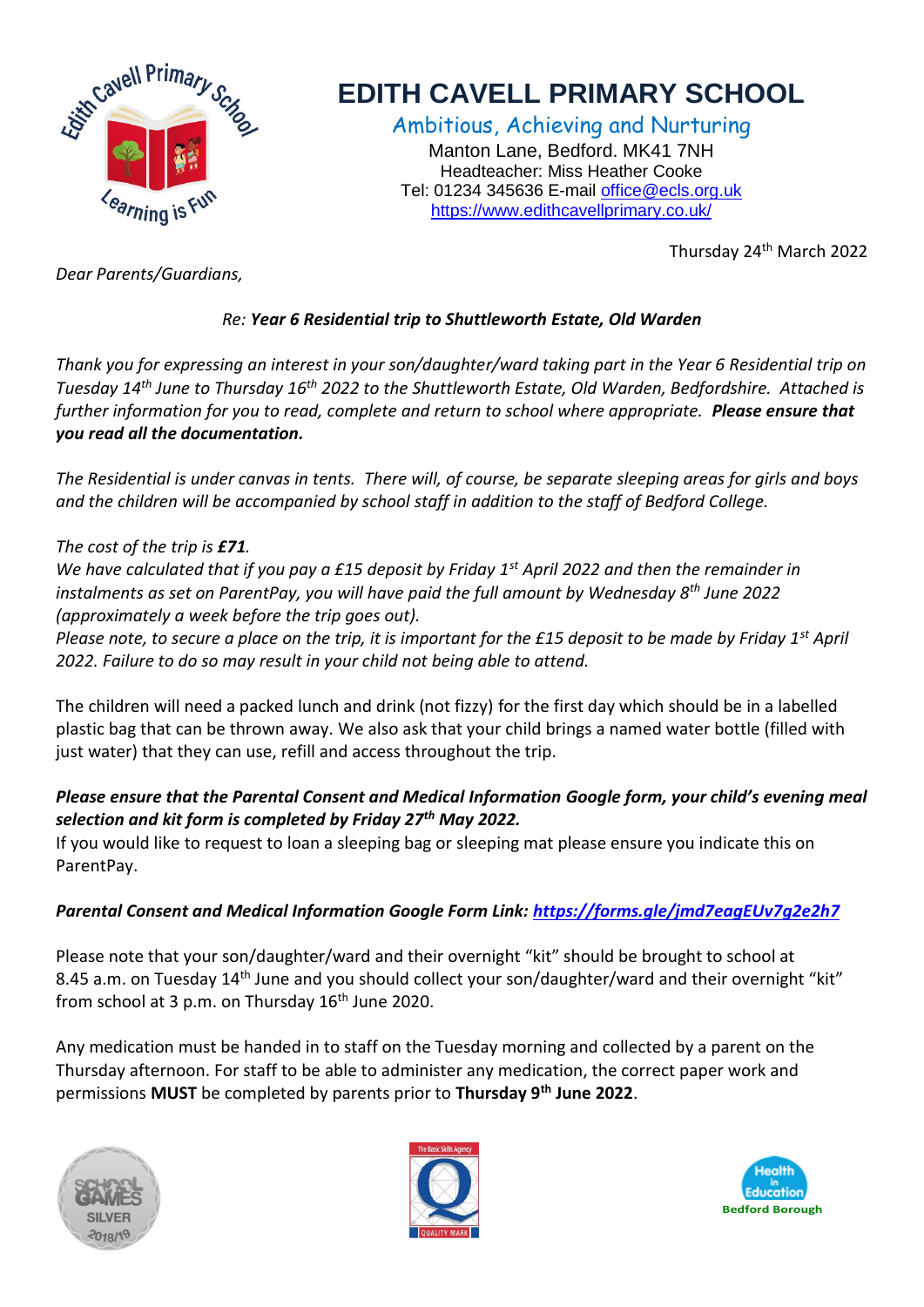

# **EDITH CAVELL PRIMARY SCHOOL**

Ambitious, Achieving and Nurturing Manton Lane, Bedford. MK41 7NH Headteacher: Miss Heather Cooke Tel: 01234 345636 E-mail [office@ecls.org.uk](mailto:office@ecls.org.uk) <https://www.edithcavellprimary.co.uk/>

Thursday 24th March 2022

*Dear Parents/Guardians,*

## *Re: Year 6 Residential trip to Shuttleworth Estate, Old Warden*

*Thank you for expressing an interest in your son/daughter/ward taking part in the Year 6 Residential trip on Tuesday 14th June to Thursday 16th 2022 to the Shuttleworth Estate, Old Warden, Bedfordshire. Attached is further information for you to read, complete and return to school where appropriate. Please ensure that you read all the documentation.* 

*The Residential is under canvas in tents. There will, of course, be separate sleeping areas for girls and boys and the children will be accompanied by school staff in addition to the staff of Bedford College.*

#### *The cost of the trip is £71.*

*We have calculated that if you pay a £15 deposit by Friday 1st April 2022 and then the remainder in instalments as set on ParentPay, you will have paid the full amount by Wednesday 8th June 2022 (approximately a week before the trip goes out).*

*Please note, to secure a place on the trip, it is important for the £15 deposit to be made by Friday 1st April 2022. Failure to do so may result in your child not being able to attend.* 

The children will need a packed lunch and drink (not fizzy) for the first day which should be in a labelled plastic bag that can be thrown away. We also ask that your child brings a named water bottle (filled with just water) that they can use, refill and access throughout the trip.

## *Please ensure that the Parental Consent and Medical Information Google form, your child's evening meal selection and kit form is completed by Friday 27th May 2022.*

If you would like to request to loan a sleeping bag or sleeping mat please ensure you indicate this on ParentPay.

### *Parental Consent and Medical Information Google Form Link:<https://forms.gle/jmd7eagEUv7g2e2h7>*

Please note that your son/daughter/ward and their overnight "kit" should be brought to school at 8.45 a.m. on Tuesday 14<sup>th</sup> June and you should collect your son/daughter/ward and their overnight "kit" from school at 3 p.m. on Thursday  $16<sup>th</sup>$  June 2020.

Any medication must be handed in to staff on the Tuesday morning and collected by a parent on the Thursday afternoon. For staff to be able to administer any medication, the correct paper work and permissions **MUST** be completed by parents prior to **Thursday 9th June 2022**.